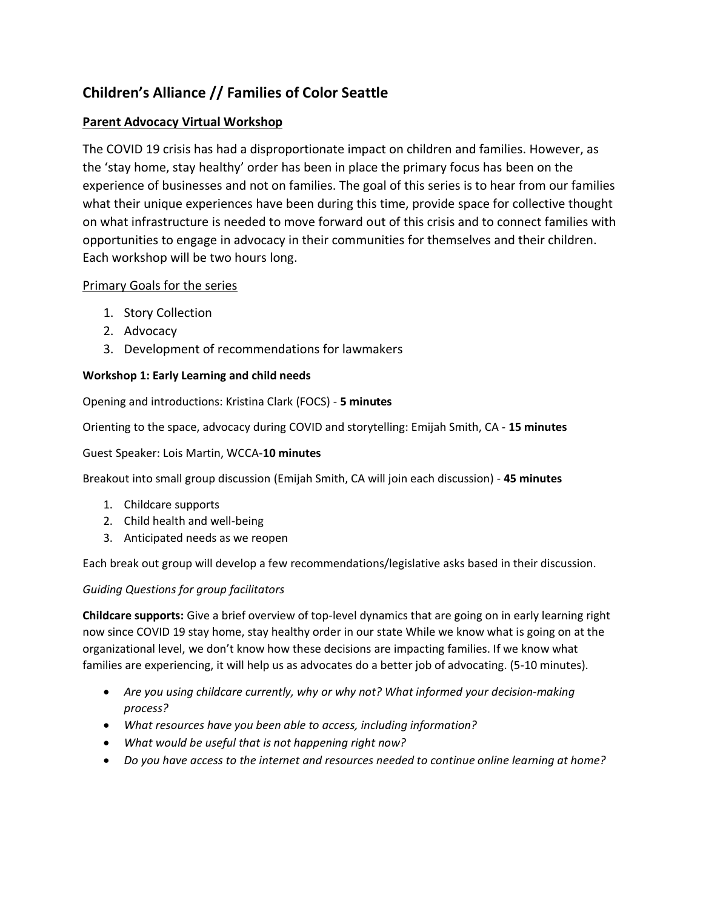# **Children's Alliance // Families of Color Seattle**

## **Parent Advocacy Virtual Workshop**

The COVID 19 crisis has had a disproportionate impact on children and families. However, as the 'stay home, stay healthy' order has been in place the primary focus has been on the experience of businesses and not on families. The goal of this series is to hear from our families what their unique experiences have been during this time, provide space for collective thought on what infrastructure is needed to move forward out of this crisis and to connect families with opportunities to engage in advocacy in their communities for themselves and their children. Each workshop will be two hours long.

### Primary Goals for the series

- 1. Story Collection
- 2. Advocacy
- 3. Development of recommendations for lawmakers

#### **Workshop 1: Early Learning and child needs**

Opening and introductions: Kristina Clark (FOCS) - **5 minutes**

Orienting to the space, advocacy during COVID and storytelling: Emijah Smith, CA - **15 minutes**

#### Guest Speaker: Lois Martin, WCCA-**10 minutes**

Breakout into small group discussion (Emijah Smith, CA will join each discussion) - **45 minutes**

- 1. Childcare supports
- 2. Child health and well-being
- 3. Anticipated needs as we reopen

Each break out group will develop a few recommendations/legislative asks based in their discussion.

#### *Guiding Questions for group facilitators*

**Childcare supports:** Give a brief overview of top-level dynamics that are going on in early learning right now since COVID 19 stay home, stay healthy order in our state While we know what is going on at the organizational level, we don't know how these decisions are impacting families. If we know what families are experiencing, it will help us as advocates do a better job of advocating. (5-10 minutes).

- *Are you using childcare currently, why or why not? What informed your decision-making process?*
- *What resources have you been able to access, including information?*
- *What would be useful that is not happening right now?*
- *Do you have access to the internet and resources needed to continue online learning at home?*